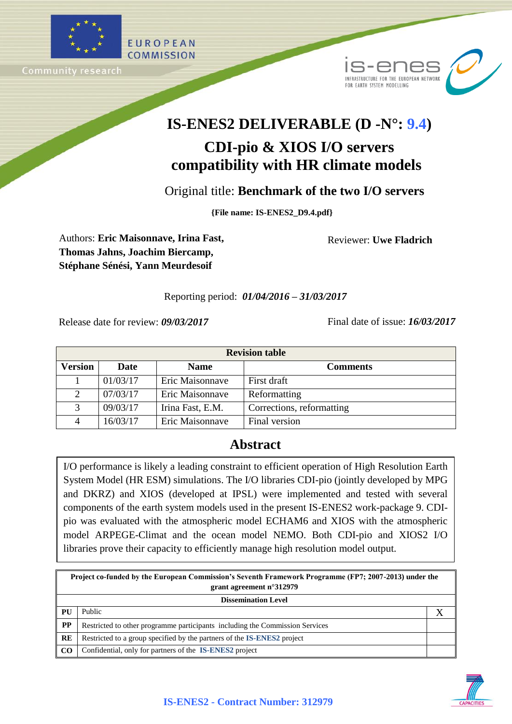



# **IS-ENES2 DELIVERABLE (D -N°: 9.4)**

## **CDI-pio & XIOS I/O servers compatibility with HR climate models**

Original title: **Benchmark of the two I/O servers**

**{File name: IS-ENES2\_D9.4.pdf}**

Authors: **Eric Maisonnave, Irina Fast, Thomas Jahns, Joachim Biercamp, Stéphane Sénési, Yann Meurdesoif**

Reviewer: **Uwe Fladrich**

## Reporting period: *01/04/2016 – 31/03/2017*

Release date for review: *09/03/2017* Final date of issue: *16/03/2017*

| <b>Revision table</b> |          |                  |                           |  |  |  |
|-----------------------|----------|------------------|---------------------------|--|--|--|
| <b>Version</b>        | Date     | <b>Name</b>      | <b>Comments</b>           |  |  |  |
|                       | 01/03/17 | Eric Maisonnave  | First draft               |  |  |  |
|                       | 07/03/17 | Eric Maisonnave  | Reformatting              |  |  |  |
|                       | 09/03/17 | Irina Fast, E.M. | Corrections, reformatting |  |  |  |
|                       | 16/03/17 | Eric Maisonnave  | Final version             |  |  |  |

## **Abstract**

I/O performance is likely a leading constraint to efficient operation of High Resolution Earth System Model (HR ESM) simulations. The I/O libraries CDI-pio (jointly developed by MPG and DKRZ) and XIOS (developed at IPSL) were implemented and tested with several components of the earth system models used in the present IS-ENES2 work-package 9. CDIpio was evaluated with the atmospheric model ECHAM6 and XIOS with the atmospheric model ARPEGE-Climat and the ocean model NEMO. Both CDI-pio and XIOS2 I/O libraries prove their capacity to efficiently manage high resolution model output.

| Project co-funded by the European Commission's Seventh Framework Programme (FP7; 2007-2013) under the<br>grant agreement $n^{\circ}312979$ |                                                                                |  |  |  |
|--------------------------------------------------------------------------------------------------------------------------------------------|--------------------------------------------------------------------------------|--|--|--|
| <b>Dissemination Level</b>                                                                                                                 |                                                                                |  |  |  |
| <b>PU</b>                                                                                                                                  | Public                                                                         |  |  |  |
| $\bf PP$                                                                                                                                   | Restricted to other programme participants including the Commission Services   |  |  |  |
| <b>RE</b>                                                                                                                                  | Restricted to a group specified by the partners of the <b>IS-ENES2</b> project |  |  |  |
| CO <sub>0</sub>                                                                                                                            | Confidential, only for partners of the IS-ENES2 project                        |  |  |  |

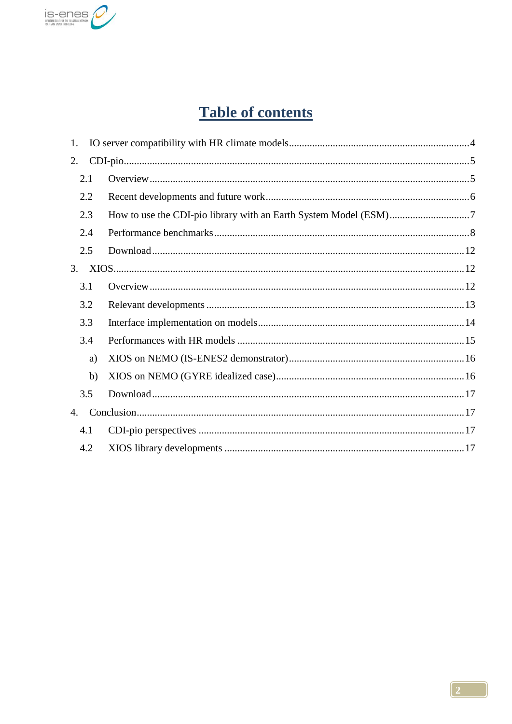

## **Table of contents**

| 1.  |  |
|-----|--|
| 2.  |  |
| 2.1 |  |
| 2.2 |  |
| 2.3 |  |
| 2.4 |  |
| 2.5 |  |
| 3.  |  |
| 3.1 |  |
| 3.2 |  |
| 3.3 |  |
| 3.4 |  |
| a)  |  |
| b)  |  |
| 3.5 |  |
| 4.  |  |
| 4.1 |  |
| 4.2 |  |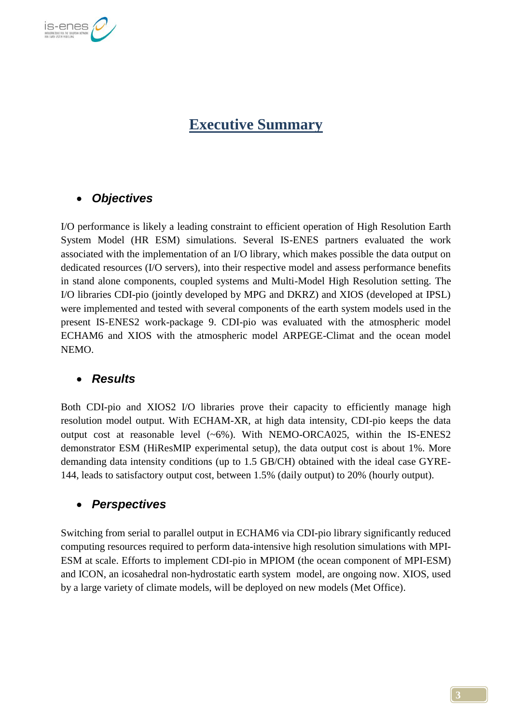

## **Executive Summary**

## *Objectives*

I/O performance is likely a leading constraint to efficient operation of High Resolution Earth System Model (HR ESM) simulations. Several IS-ENES partners evaluated the work associated with the implementation of an I/O library, which makes possible the data output on dedicated resources (I/O servers), into their respective model and assess performance benefits in stand alone components, coupled systems and Multi-Model High Resolution setting. The I/O libraries CDI-pio (jointly developed by MPG and DKRZ) and XIOS (developed at IPSL) were implemented and tested with several components of the earth system models used in the present IS-ENES2 work-package 9. CDI-pio was evaluated with the atmospheric model ECHAM6 and XIOS with the atmospheric model ARPEGE-Climat and the ocean model NEMO.

## *Results*

Both CDI-pio and XIOS2 I/O libraries prove their capacity to efficiently manage high resolution model output. With ECHAM-XR, at high data intensity, CDI-pio keeps the data output cost at reasonable level (~6%). With NEMO-ORCA025, within the IS-ENES2 demonstrator ESM (HiResMIP experimental setup), the data output cost is about 1%. More demanding data intensity conditions (up to 1.5 GB/CH) obtained with the ideal case GYRE-144, leads to satisfactory output cost, between 1.5% (daily output) to 20% (hourly output).

## *Perspectives*

Switching from serial to parallel output in ECHAM6 via CDI-pio library significantly reduced computing resources required to perform data-intensive high resolution simulations with MPI-ESM at scale. Efforts to implement CDI-pio in MPIOM (the ocean component of MPI-ESM) and ICON, an icosahedral non-hydrostatic earth system model, are ongoing now. XIOS, used by a large variety of climate models, will be deployed on new models (Met Office).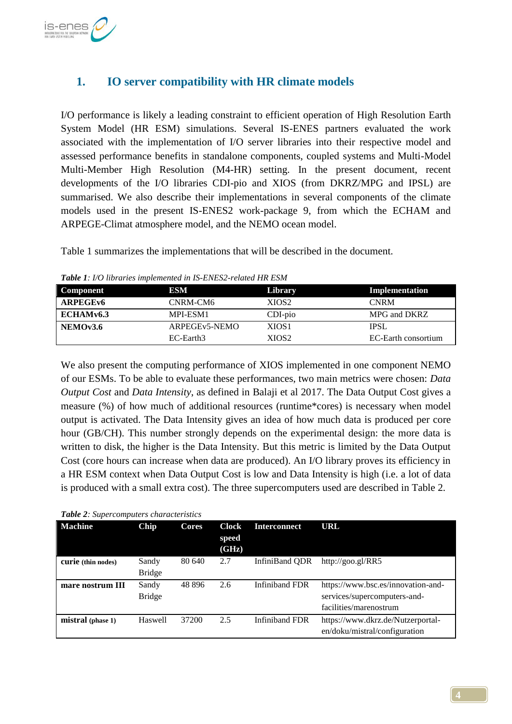

## **1. IO server compatibility with HR climate models**

I/O performance is likely a leading constraint to efficient operation of High Resolution Earth System Model (HR ESM) simulations. Several IS-ENES partners evaluated the work associated with the implementation of I/O server libraries into their respective model and assessed performance benefits in standalone components, coupled systems and Multi-Model Multi-Member High Resolution (M4-HR) setting. In the present document, recent developments of the I/O libraries CDI-pio and XIOS (from DKRZ/MPG and IPSL) are summarised. We also describe their implementations in several components of the climate models used in the present IS-ENES2 work-package 9, from which the ECHAM and ARPEGE-Climat atmosphere model, and the NEMO ocean model.

Table 1 summarizes the implementations that will be described in the document.

| <b>Component</b> | ESM                        | Library           | Implementation      |
|------------------|----------------------------|-------------------|---------------------|
| <b>ARPEGEv6</b>  | CNRM-CM6                   | XIOS2             | <b>CNRM</b>         |
| ECHAMv6.3        | MPI-ESM1                   | $CDI-pio$         | MPG and DKRZ        |
| NEMOv3.6         | ARPEGE <sub>v5</sub> -NEMO | XIOS <sub>1</sub> | <b>IPSL</b>         |
|                  | EC-Earth3                  | XIOS <sub>2</sub> | EC-Earth consortium |

*Table 1: I/O libraries implemented in IS-ENES2-related HR ESM*

We also present the computing performance of XIOS implemented in one component NEMO of our ESMs. To be able to evaluate these performances, two main metrics were chosen: *Data Output Cost* and *Data Intensity*, as defined in Balaji et al 2017. The Data Output Cost gives a measure (%) of how much of additional resources (runtime\*cores) is necessary when model output is activated. The Data Intensity gives an idea of how much data is produced per core hour (GB/CH). This number strongly depends on the experimental design: the more data is written to disk, the higher is the Data Intensity. But this metric is limited by the Data Output Cost (core hours can increase when data are produced). An I/O library proves its efficiency in a HR ESM context when Data Output Cost is low and Data Intensity is high (i.e. a lot of data is produced with a small extra cost). The three supercomputers used are described in Table 2.

#### *Table 2: Supercomputers characteristics*

| <b>Machine</b>     | Chip                   | Cores  | Clock<br>speed<br>(GHz) | <b>Interconnect</b>   | URL                                                                                          |
|--------------------|------------------------|--------|-------------------------|-----------------------|----------------------------------------------------------------------------------------------|
| curie (thin nodes) | Sandy<br><b>Bridge</b> | 80 640 | 2.7                     | InfiniBand ODR        | http://goo.gl/RR5                                                                            |
| mare nostrum III   | Sandy<br><b>Bridge</b> | 48 896 | 2.6                     | <b>Infiniband FDR</b> | https://www.bsc.es/innovation-and-<br>services/supercomputers-and-<br>facilities/marenostrum |
| mistral (phase 1)  | Haswell                | 37200  | 2.5                     | Infiniband FDR        | https://www.dkrz.de/Nutzerportal-<br>en/doku/mistral/configuration                           |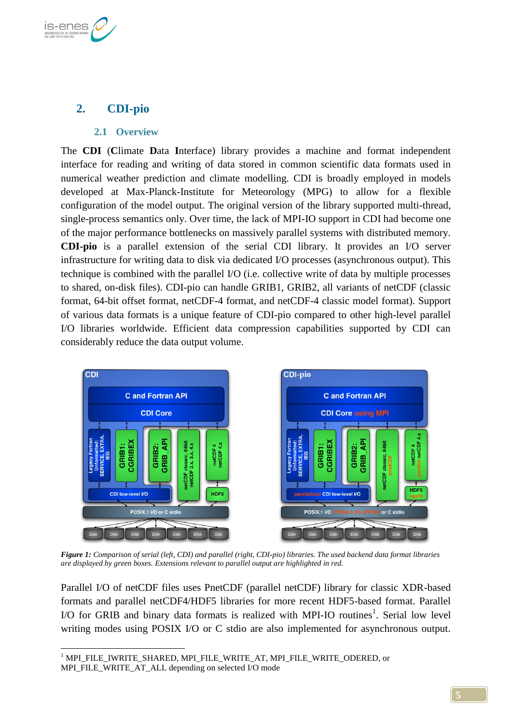

## **2. CDI-pio**

#### **2.1 Overview**

The **CDI** (**C**limate **D**ata **I**nterface) library provides a machine and format independent interface for reading and writing of data stored in common scientific data formats used in numerical weather prediction and climate modelling. CDI is broadly employed in models developed at Max-Planck-Institute for Meteorology (MPG) to allow for a flexible configuration of the model output. The original version of the library supported multi-thread, single-process semantics only. Over time, the lack of MPI-IO support in CDI had become one of the major performance bottlenecks on massively parallel systems with distributed memory. **CDI-pio** is a parallel extension of the serial CDI library. It provides an I/O server infrastructure for writing data to disk via dedicated I/O processes (asynchronous output). This technique is combined with the parallel I/O (i.e. collective write of data by multiple processes to shared, on-disk files). CDI-pio can handle GRIB1, GRIB2, all variants of netCDF (classic format, 64-bit offset format, netCDF-4 format, and netCDF-4 classic model format). Support of various data formats is a unique feature of CDI-pio compared to other high-level parallel I/O libraries worldwide. Efficient data compression capabilities supported by CDI can considerably reduce the data output volume.



*Figure 1: Comparison of serial (left, CDI) and parallel (right, CDI-pio) libraries. The used backend data format libraries are displayed by green boxes. Extensions relevant to parallel output are highlighted in red.*

Parallel I/O of netCDF files uses PnetCDF (parallel netCDF) library for classic XDR-based formats and parallel netCDF4/HDF5 libraries for more recent HDF5-based format. Parallel  $I/O$  for GRIB and binary data formats is realized with MPI-IO routines<sup>1</sup>. Serial low level writing modes using POSIX I/O or C stdio are also implemented for asynchronous output.

<sup>1</sup> <sup>1</sup> MPI\_FILE\_IWRITE\_SHARED, MPI\_FILE\_WRITE\_AT, MPI\_FILE\_WRITE\_ODERED, or MPI\_FILE\_WRITE\_AT\_ALL depending on selected I/O mode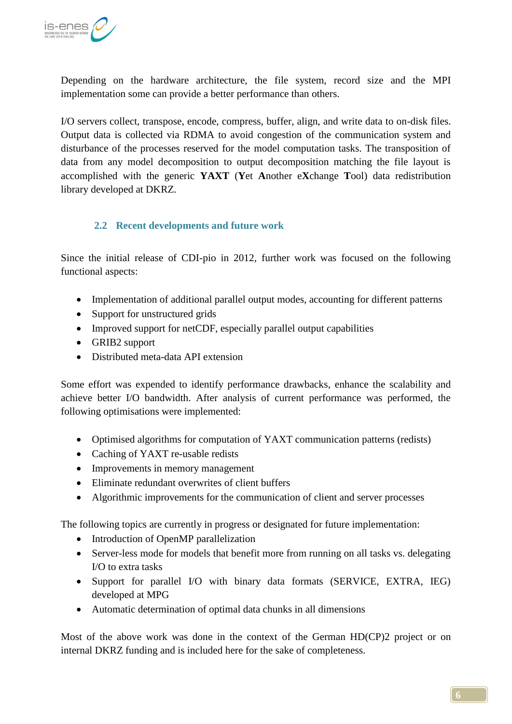

Depending on the hardware architecture, the file system, record size and the MPI implementation some can provide a better performance than others.

I/O servers collect, transpose, encode, compress, buffer, align, and write data to on-disk files. Output data is collected via RDMA to avoid congestion of the communication system and disturbance of the processes reserved for the model computation tasks. The transposition of data from any model decomposition to output decomposition matching the file layout is accomplished with the generic **YAXT** (**Y**et **A**nother e**X**change **T**ool) data redistribution library developed at DKRZ.

## **2.2 Recent developments and future work**

Since the initial release of CDI-pio in 2012, further work was focused on the following functional aspects:

- Implementation of additional parallel output modes, accounting for different patterns
- Support for unstructured grids
- Improved support for netCDF, especially parallel output capabilities
- GRIB2 support
- Distributed meta-data API extension

Some effort was expended to identify performance drawbacks, enhance the scalability and achieve better I/O bandwidth. After analysis of current performance was performed, the following optimisations were implemented:

- Optimised algorithms for computation of YAXT communication patterns (redists)
- Caching of YAXT re-usable redists
- Improvements in memory management
- Eliminate redundant overwrites of client buffers
- Algorithmic improvements for the communication of client and server processes

The following topics are currently in progress or designated for future implementation:

- Introduction of OpenMP parallelization
- Server-less mode for models that benefit more from running on all tasks vs. delegating I/O to extra tasks
- Support for parallel I/O with binary data formats (SERVICE, EXTRA, IEG) developed at MPG
- Automatic determination of optimal data chunks in all dimensions

Most of the above work was done in the context of the German HD(CP)2 project or on internal DKRZ funding and is included here for the sake of completeness.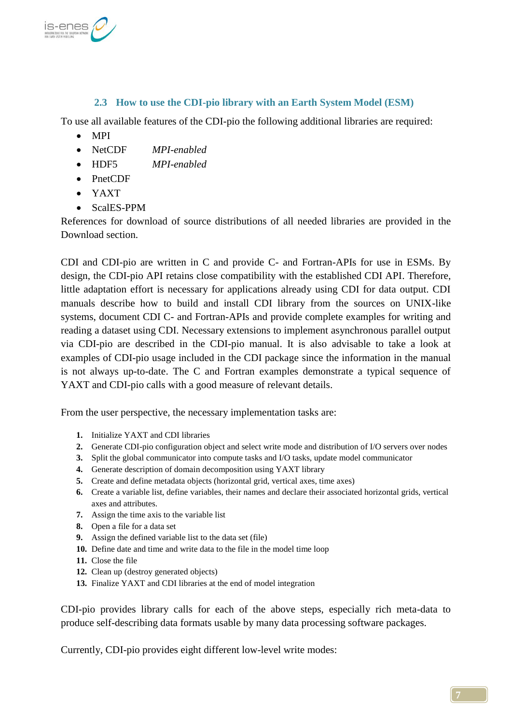

## **2.3 How to use the CDI-pio library with an Earth System Model (ESM)**

To use all available features of the CDI-pio the following additional libraries are required:

- MPI
- NetCDF *MPI-enabled*
- HDF5 *MPI-enabled*
- PnetCDF
- YAXT
- ScalES-PPM

References for download of source distributions of all needed libraries are provided in the [Download](#page-11-0) section.

CDI and CDI-pio are written in C and provide C- and Fortran-APIs for use in ESMs. By design, the CDI-pio API retains close compatibility with the established CDI API. Therefore, little adaptation effort is necessary for applications already using CDI for data output. CDI manuals describe how to build and install CDI library from the sources on UNIX-like systems, document CDI C- and Fortran-APIs and provide complete examples for writing and reading a dataset using CDI. Necessary extensions to implement asynchronous parallel output via CDI-pio are described in the CDI-pio manual. It is also advisable to take a look at examples of CDI-pio usage included in the CDI package since the information in the manual is not always up-to-date. The C and Fortran examples demonstrate a typical sequence of YAXT and CDI-pio calls with a good measure of relevant details.

From the user perspective, the necessary implementation tasks are:

- **1.** Initialize YAXT and CDI libraries
- **2.** Generate CDI-pio configuration object and select write mode and distribution of I/O servers over nodes
- **3.** Split the global communicator into compute tasks and I/O tasks, update model communicator
- **4.** Generate description of domain decomposition using YAXT library
- **5.** Create and define metadata objects (horizontal grid, vertical axes, time axes)
- **6.** Create a variable list, define variables, their names and declare their associated horizontal grids, vertical axes and attributes.
- **7.** Assign the time axis to the variable list
- **8.** Open a file for a data set
- **9.** Assign the defined variable list to the data set (file)
- **10.** Define date and time and write data to the file in the model time loop
- **11.** Close the file
- **12.** Clean up (destroy generated objects)
- **13.** Finalize YAXT and CDI libraries at the end of model integration

CDI-pio provides library calls for each of the above steps, especially rich meta-data to produce self-describing data formats usable by many data processing software packages.

Currently, CDI-pio provides eight different low-level write modes: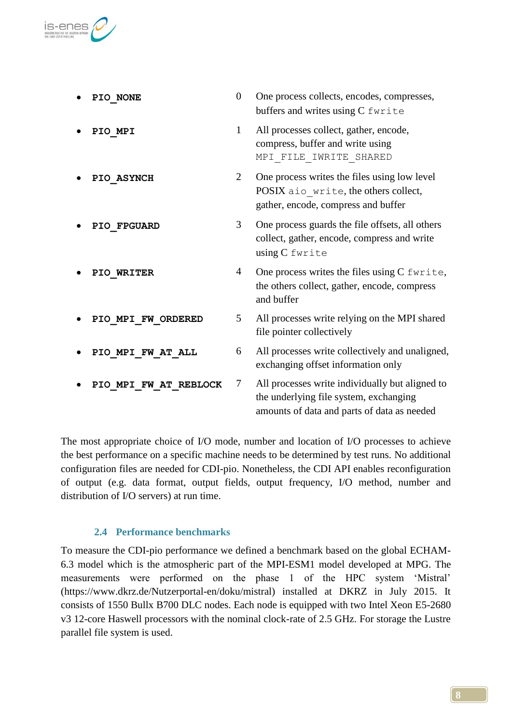

| PIO NONE              | $\boldsymbol{0}$ | One process collects, encodes, compresses,<br>buffers and writes using C fwrite                                                          |
|-----------------------|------------------|------------------------------------------------------------------------------------------------------------------------------------------|
| PIO MPI               | 1                | All processes collect, gather, encode,<br>compress, buffer and write using<br>MPI FILE IWRITE SHARED                                     |
| PIO ASYNCH            | $\overline{2}$   | One process writes the files using low level<br>POSIX aio write, the others collect,<br>gather, encode, compress and buffer              |
| PIO FPGUARD           | 3                | One process guards the file offsets, all others<br>collect, gather, encode, compress and write<br>using C fwrite                         |
| PIO WRITER            | 4                | One process writes the files using C fwrite,<br>the others collect, gather, encode, compress<br>and buffer                               |
| PIO MPI FW ORDERED    | 5                | All processes write relying on the MPI shared<br>file pointer collectively                                                               |
| PIO MPI FW AT ALL     | 6                | All processes write collectively and unaligned,<br>exchanging offset information only                                                    |
| PIO MPI FW AT REBLOCK | 7                | All processes write individually but aligned to<br>the underlying file system, exchanging<br>amounts of data and parts of data as needed |

The most appropriate choice of I/O mode, number and location of I/O processes to achieve the best performance on a specific machine needs to be determined by test runs. No additional configuration files are needed for CDI-pio. Nonetheless, the CDI API enables reconfiguration of output (e.g. data format, output fields, output frequency, I/O method, number and distribution of I/O servers) at run time.

### **2.4 Performance benchmarks**

To measure the CDI-pio performance we defined a benchmark based on the global ECHAM-6.3 model which is the atmospheric part of the MPI-ESM1 model developed at MPG. The measurements were performed on the phase 1 of the HPC system "Mistral" (https://www.dkrz.de/Nutzerportal-en/doku/mistral) installed at DKRZ in July 2015. It consists of 1550 Bullx B700 DLC nodes. Each node is equipped with two Intel Xeon E5-2680 v3 12-core Haswell processors with the nominal clock-rate of 2.5 GHz. For storage the Lustre parallel file system is used.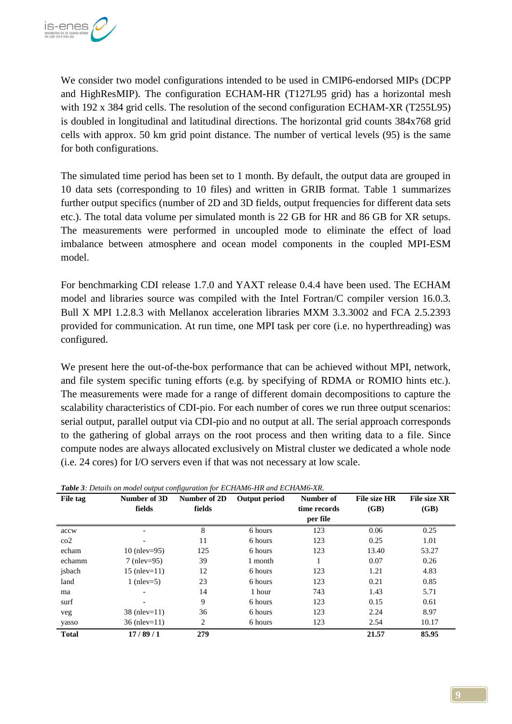

We consider two model configurations intended to be used in CMIP6-endorsed MIPs (DCPP and HighResMIP). The configuration ECHAM-HR (T127L95 grid) has a horizontal mesh with 192 x 384 grid cells. The resolution of the second configuration ECHAM-XR (T255L95) is doubled in longitudinal and latitudinal directions. The horizontal grid counts 384x768 grid cells with approx. 50 km grid point distance. The number of vertical levels (95) is the same for both configurations.

The simulated time period has been set to 1 month. By default, the output data are grouped in 10 data sets (corresponding to 10 files) and written in GRIB format. Table 1 summarizes further output specifics (number of 2D and 3D fields, output frequencies for different data sets etc.). The total data volume per simulated month is 22 GB for HR and 86 GB for XR setups. The measurements were performed in uncoupled mode to eliminate the effect of load imbalance between atmosphere and ocean model components in the coupled MPI-ESM model.

For benchmarking CDI release 1.7.0 and YAXT release 0.4.4 have been used. The ECHAM model and libraries source was compiled with the Intel Fortran/C compiler version 16.0.3. Bull X MPI 1.2.8.3 with Mellanox acceleration libraries MXM 3.3.3002 and FCA 2.5.2393 provided for communication. At run time, one MPI task per core (i.e. no hyperthreading) was configured.

We present here the out-of-the-box performance that can be achieved without MPI, network, and file system specific tuning efforts (e.g. by specifying of RDMA or ROMIO hints etc.). The measurements were made for a range of different domain decompositions to capture the scalability characteristics of CDI-pio. For each number of cores we run three output scenarios: serial output, parallel output via CDI-pio and no output at all. The serial approach corresponds to the gathering of global arrays on the root process and then writing data to a file. Since compute nodes are always allocated exclusively on Mistral cluster we dedicated a whole node (i.e. 24 cores) for I/O servers even if that was not necessary at low scale.

| File tag     | Number of 3D       | Number of 2D | Output period | Number of    | <b>File size HR</b> | <b>File size XR</b> |
|--------------|--------------------|--------------|---------------|--------------|---------------------|---------------------|
|              | fields             | fields       |               | time records | (GB)                | (GB)                |
|              |                    |              |               | per file     |                     |                     |
| accw         |                    | 8            | 6 hours       | 123          | 0.06                | 0.25                |
| $\rm{co2}$   |                    | 11           | 6 hours       | 123          | 0.25                | 1.01                |
| echam        | 10 (nlev= $95$ )   | 125          | 6 hours       | 123          | 13.40               | 53.27               |
| echamm       | $7$ (nlev=95)      | 39           | 1 month       |              | 0.07                | 0.26                |
| jsbach       | $15$ (nlev= $11$ ) | 12           | 6 hours       | 123          | 1.21                | 4.83                |
| land         | 1 (nlev=5)         | 23           | 6 hours       | 123          | 0.21                | 0.85                |
| ma           |                    | 14           | 1 hour        | 743          | 1.43                | 5.71                |
| surf         |                    | 9            | 6 hours       | 123          | 0.15                | 0.61                |
| veg          | $38$ (nlev=11)     | 36           | 6 hours       | 123          | 2.24                | 8.97                |
| yasso        | $36$ (nlev=11)     | 2            | 6 hours       | 123          | 2.54                | 10.17               |
| <b>Total</b> | 17/89/1            | 279          |               |              | 21.57               | 85.95               |

*Table 3: Details on model output configuration for ECHAM6-HR and ECHAM6-XR.*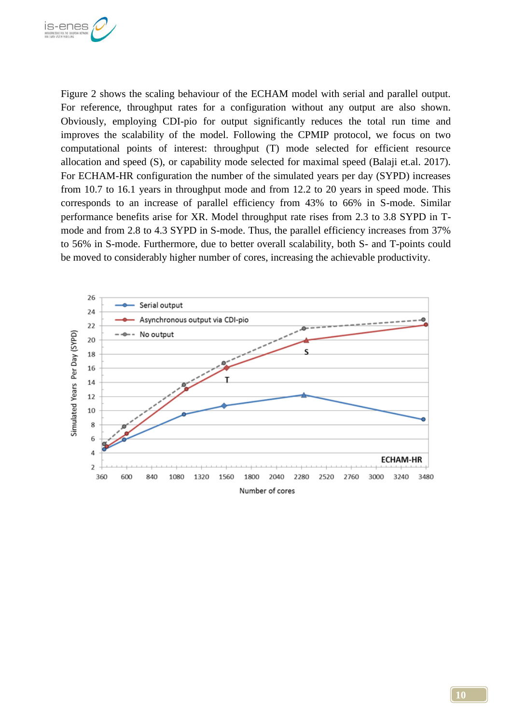

Figure 2 shows the scaling behaviour of the ECHAM model with serial and parallel output. For reference, throughput rates for a configuration without any output are also shown. Obviously, employing CDI-pio for output significantly reduces the total run time and improves the scalability of the model. Following the CPMIP protocol, we focus on two computational points of interest: throughput (T) mode selected for efficient resource allocation and speed (S), or capability mode selected for maximal speed (Balaji et.al. 2017). For ECHAM-HR configuration the number of the simulated years per day (SYPD) increases from 10.7 to 16.1 years in throughput mode and from 12.2 to 20 years in speed mode. This corresponds to an increase of parallel efficiency from 43% to 66% in S-mode. Similar performance benefits arise for XR. Model throughput rate rises from 2.3 to 3.8 SYPD in Tmode and from 2.8 to 4.3 SYPD in S-mode. Thus, the parallel efficiency increases from 37% to 56% in S-mode. Furthermore, due to better overall scalability, both S- and T-points could be moved to considerably higher number of cores, increasing the achievable productivity.

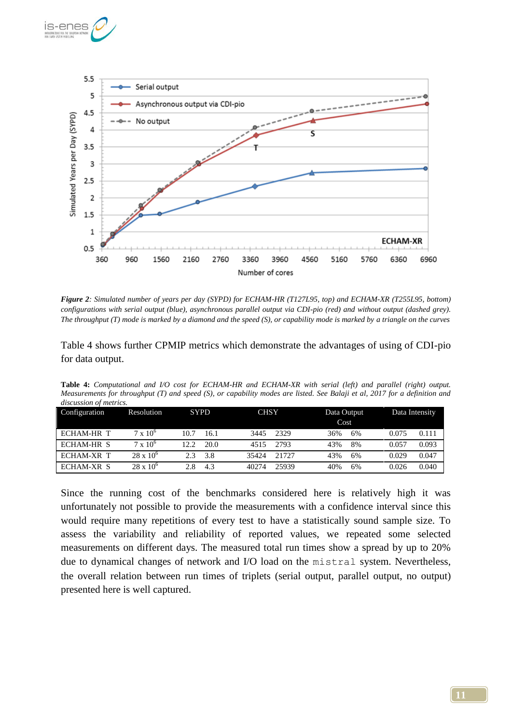



*Figure 2: Simulated number of years per day (SYPD) for ECHAM-HR (T127L95, top) and ECHAM-XR (T255L95, bottom) configurations with serial output (blue), asynchronous parallel output via CDI-pio (red) and without output (dashed grey). The throughput (T) mode is marked by a diamond and the speed (S), or capability mode is marked by a triangle on the curves*

Table 4 shows further CPMIP metrics which demonstrate the advantages of using of CDI-pio for data output.

**Table 4:** *Computational and I/O cost for ECHAM-HR and ECHAM-XR with serial (left) and parallel (right) output. Measurements for throughput (T) and speed (S), or capability modes are listed. See Balaji et al, 2017 for a definition and discussion of metrics.*

| Configuration     | Resolution         | <b>SYPD</b>   | <b>CHSY</b>    | Data Output<br>Cost | Data Intensity |
|-------------------|--------------------|---------------|----------------|---------------------|----------------|
| <b>ECHAM-HR T</b> | $7 \times 10^{6}$  | 10.7<br>16.1  | 2329<br>3445   | 36%<br>6%           | 0.075<br>0.111 |
| ECHAM-HR S        | $7 \times 10^{6}$  | 20.0<br>12.2. | 2793<br>4515   | 43%<br>8%           | 0.093<br>0.057 |
| ECHAM-XR T        | $28 \times 10^{6}$ | 3.8<br>23     | 35424<br>21727 | 43%<br>6%           | 0.047<br>0.029 |
| ECHAM-XR S        | $28 \times 10^{6}$ | 4.3<br>2.8    | 40274<br>25939 | 40%<br>6%           | 0.040<br>0.026 |

Since the running cost of the benchmarks considered here is relatively high it was unfortunately not possible to provide the measurements with a confidence interval since this would require many repetitions of every test to have a statistically sound sample size. To assess the variability and reliability of reported values, we repeated some selected measurements on different days. The measured total run times show a spread by up to 20% due to dynamical changes of network and I/O load on the mistral system. Nevertheless, the overall relation between run times of triplets (serial output, parallel output, no output) presented here is well captured.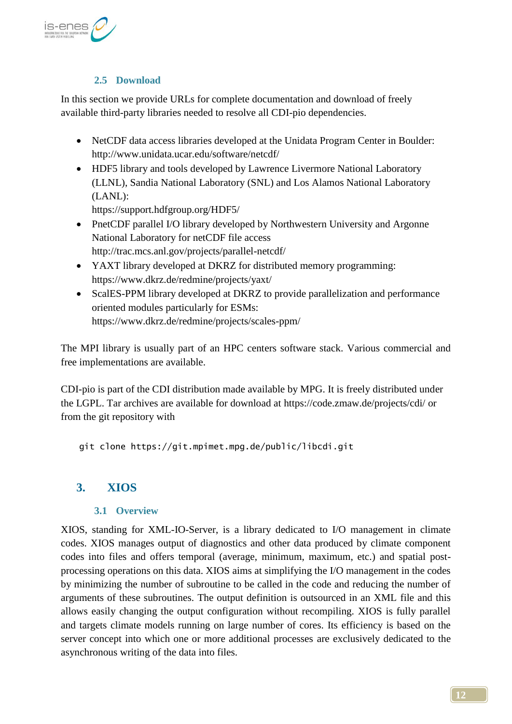

## **2.5 Download**

<span id="page-11-0"></span>In this section we provide URLs for complete documentation and download of freely available third-party libraries needed to resolve all CDI-pio dependencies.

- NetCDF data access libraries developed at the Unidata Program Center in Boulder: <http://www.unidata.ucar.edu/software/netcdf/>
- HDF5 library and tools developed by Lawrence Livermore National Laboratory (LLNL), Sandia National Laboratory (SNL) and Los Alamos National Laboratory (LANL):

<https://support.hdfgroup.org/HDF5/>

- PnetCDF parallel I/O library developed by Northwestern University and Argonne National Laboratory for netCDF file access <http://trac.mcs.anl.gov/projects/parallel-netcdf/>
- YAXT library developed at DKRZ for distributed memory programming: <https://www.dkrz.de/redmine/projects/yaxt/>
- ScalES-PPM library developed at DKRZ to provide parallelization and performance oriented modules particularly for ESMs: <https://www.dkrz.de/redmine/projects/scales-ppm/>

The MPI library is usually part of an HPC centers software stack. Various commercial and free implementations are available.

CDI-pio is part of the CDI distribution made available by MPG. It is freely distributed under the LGPL. Tar archives are available for download at<https://code.zmaw.de/projects/cdi/> or from the git repository with

git clone https://git.mpimet.mpg.de/public/libcdi.git

## **3. XIOS**

## **3.1 Overview**

XIOS, standing for XML-IO-Server, is a library dedicated to I/O management in climate codes. XIOS manages output of diagnostics and other data produced by climate component codes into files and offers temporal (average, minimum, maximum, etc.) and spatial postprocessing operations on this data. XIOS aims at simplifying the I/O management in the codes by minimizing the number of subroutine to be called in the code and reducing the number of arguments of these subroutines. The output definition is outsourced in an XML file and this allows easily changing the output configuration without recompiling. XIOS is fully parallel and targets climate models running on large number of cores. Its efficiency is based on the server concept into which one or more additional processes are exclusively dedicated to the asynchronous writing of the data into files.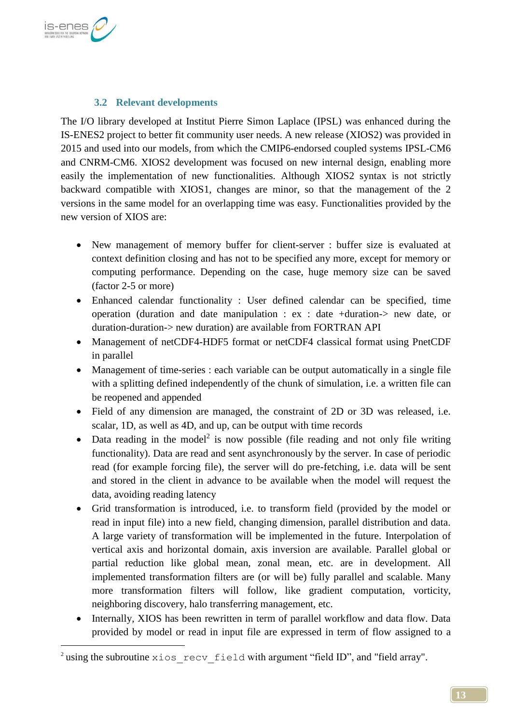

1

## **3.2 Relevant developments**

The I/O library developed at Institut Pierre Simon Laplace (IPSL) was enhanced during the IS-ENES2 project to better fit community user needs. A new release (XIOS2) was provided in 2015 and used into our models, from which the CMIP6-endorsed coupled systems IPSL-CM6 and CNRM-CM6. XIOS2 development was focused on new internal design, enabling more easily the implementation of new functionalities. Although XIOS2 syntax is not strictly backward compatible with XIOS1, changes are minor, so that the management of the 2 versions in the same model for an overlapping time was easy. Functionalities provided by the new version of XIOS are:

- New management of memory buffer for client-server : buffer size is evaluated at context definition closing and has not to be specified any more, except for memory or computing performance. Depending on the case, huge memory size can be saved (factor 2-5 or more)
- Enhanced calendar functionality : User defined calendar can be specified, time operation (duration and date manipulation : ex : date +duration-> new date, or duration-duration-> new duration) are available from FORTRAN API
- Management of netCDF4-HDF5 format or netCDF4 classical format using PnetCDF in parallel
- Management of time-series : each variable can be output automatically in a single file with a splitting defined independently of the chunk of simulation, i.e. a written file can be reopened and appended
- Field of any dimension are managed, the constraint of 2D or 3D was released, i.e. scalar, 1D, as well as 4D, and up, can be output with time records
- Data reading in the model<sup>2</sup> is now possible (file reading and not only file writing functionality). Data are read and sent asynchronously by the server. In case of periodic read (for example forcing file), the server will do pre-fetching, i.e. data will be sent and stored in the client in advance to be available when the model will request the data, avoiding reading latency
- Grid transformation is introduced, i.e. to transform field (provided by the model or read in input file) into a new field, changing dimension, parallel distribution and data. A large variety of transformation will be implemented in the future. Interpolation of vertical axis and horizontal domain, axis inversion are available. Parallel global or partial reduction like global mean, zonal mean, etc. are in development. All implemented transformation filters are (or will be) fully parallel and scalable. Many more transformation filters will follow, like gradient computation, vorticity, neighboring discovery, halo transferring management, etc.
- Internally, XIOS has been rewritten in term of parallel workflow and data flow. Data provided by model or read in input file are expressed in term of flow assigned to a

 $^2$  using the subroutine  $x$ ios recv field with argument "field ID", and "field array".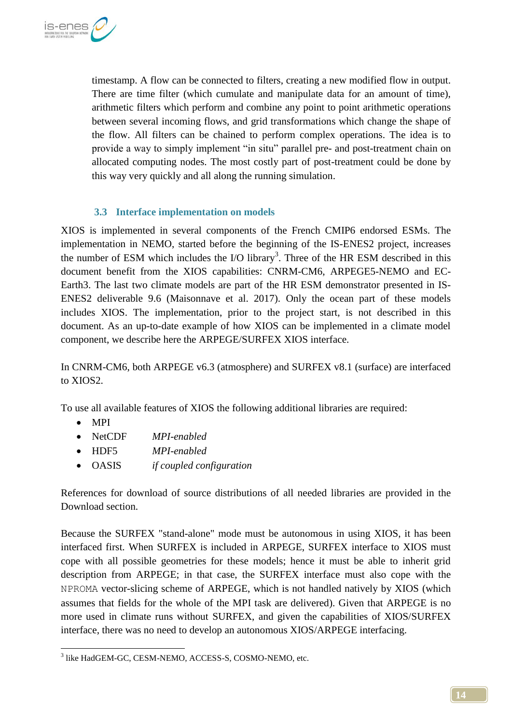

timestamp. A flow can be connected to filters, creating a new modified flow in output. There are time filter (which cumulate and manipulate data for an amount of time), arithmetic filters which perform and combine any point to point arithmetic operations between several incoming flows, and grid transformations which change the shape of the flow. All filters can be chained to perform complex operations. The idea is to provide a way to simply implement "in situ" parallel pre- and post-treatment chain on allocated computing nodes. The most costly part of post-treatment could be done by this way very quickly and all along the running simulation.

### **3.3 Interface implementation on models**

XIOS is implemented in several components of the French CMIP6 endorsed ESMs. The implementation in NEMO, started before the beginning of the IS-ENES2 project, increases the number of ESM which includes the  $I/O$  library<sup>3</sup>. Three of the HR ESM described in this document benefit from the XIOS capabilities: CNRM-CM6, ARPEGE5-NEMO and EC-Earth3. The last two climate models are part of the HR ESM demonstrator presented in IS-ENES2 deliverable 9.6 (Maisonnave et al. 2017). Only the ocean part of these models includes XIOS. The implementation, prior to the project start, is not described in this document. As an up-to-date example of how XIOS can be implemented in a climate model component, we describe here the ARPEGE/SURFEX XIOS interface.

In CNRM-CM6, both ARPEGE v6.3 (atmosphere) and SURFEX v8.1 (surface) are interfaced to XIOS2.

To use all available features of XIOS the following additional libraries are required:

- MPI
- NetCDF *MPI-enabled*
- HDF5 *MPI-enabled*
- OASIS *if coupled configuration*

References for download of source distributions of all needed libraries are provided in the [Download](#page-11-0) section.

Because the SURFEX "stand-alone" mode must be autonomous in using XIOS, it has been interfaced first. When SURFEX is included in ARPEGE, SURFEX interface to XIOS must cope with all possible geometries for these models; hence it must be able to inherit grid description from ARPEGE; in that case, the SURFEX interface must also cope with the NPROMA vector-slicing scheme of ARPEGE, which is not handled natively by XIOS (which assumes that fields for the whole of the MPI task are delivered). Given that ARPEGE is no more used in climate runs without SURFEX, and given the capabilities of XIOS/SURFEX interface, there was no need to develop an autonomous XIOS/ARPEGE interfacing.

<sup>1</sup> 3 like HadGEM-GC, CESM-NEMO, ACCESS-S, COSMO-NEMO, etc.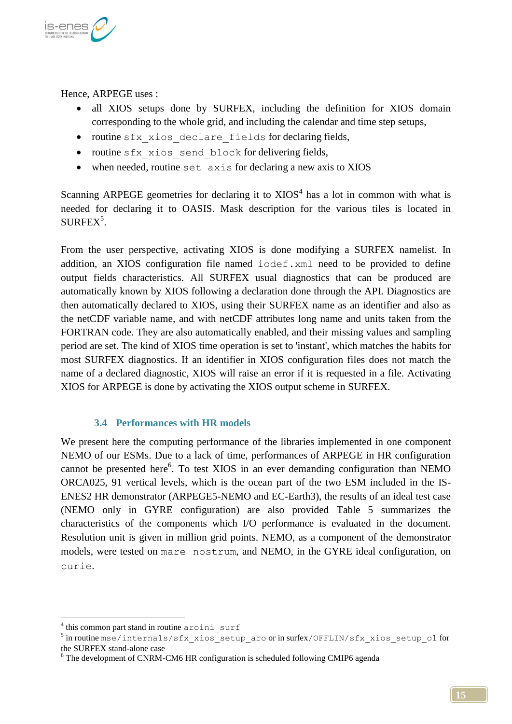

Hence, ARPEGE uses :

- all XIOS setups done by SURFEX, including the definition for XIOS domain corresponding to the whole grid, and including the calendar and time step setups,
- routine sfx xios declare fields for declaring fields,
- routine sfx xios send block for delivering fields,
- when needed, routine set axis for declaring a new axis to XIOS

Scanning ARPEGE geometries for declaring it to  $XIOS<sup>4</sup>$  has a lot in common with what is needed for declaring it to OASIS. Mask description for the various tiles is located in  $\text{SURFEX}^5$ .

From the user perspective, activating XIOS is done modifying a SURFEX namelist. In addition, an XIOS configuration file named iodef.xml need to be provided to define output fields characteristics. All SURFEX usual diagnostics that can be produced are automatically known by XIOS following a declaration done through the API. Diagnostics are then automatically declared to XIOS, using their SURFEX name as an identifier and also as the netCDF variable name, and with netCDF attributes long name and units taken from the FORTRAN code. They are also automatically enabled, and their missing values and sampling period are set. The kind of XIOS time operation is set to 'instant', which matches the habits for most SURFEX diagnostics. If an identifier in XIOS configuration files does not match the name of a declared diagnostic, XIOS will raise an error if it is requested in a file. Activating XIOS for ARPEGE is done by activating the XIOS output scheme in SURFEX.

### **3.4 Performances with HR models**

We present here the computing performance of the libraries implemented in one component NEMO of our ESMs. Due to a lack of time, performances of ARPEGE in HR configuration cannot be presented here<sup>6</sup>. To test XIOS in an ever demanding configuration than NEMO ORCA025, 91 vertical levels, which is the ocean part of the two ESM included in the IS-ENES2 HR demonstrator (ARPEGE5-NEMO and EC-Earth3), the results of an ideal test case (NEMO only in GYRE configuration) are also provided Table 5 summarizes the characteristics of the components which I/O performance is evaluated in the document. Resolution unit is given in million grid points. NEMO, as a component of the demonstrator models, were tested on mare nostrum, and NEMO, in the GYRE ideal configuration, on curie.

<u>.</u>

<sup>&</sup>lt;sup>4</sup> this common part stand in routine aroini surf

<sup>&</sup>lt;sup>5</sup> in routine mse/internals/sfx\_xios\_setup\_aro or in surfex/OFFLIN/sfx\_xios\_setup\_ol for the SURFEX stand-alone case

<sup>&</sup>lt;sup>6</sup> The development of CNRM-CM6 HR configuration is scheduled following CMIP6 agenda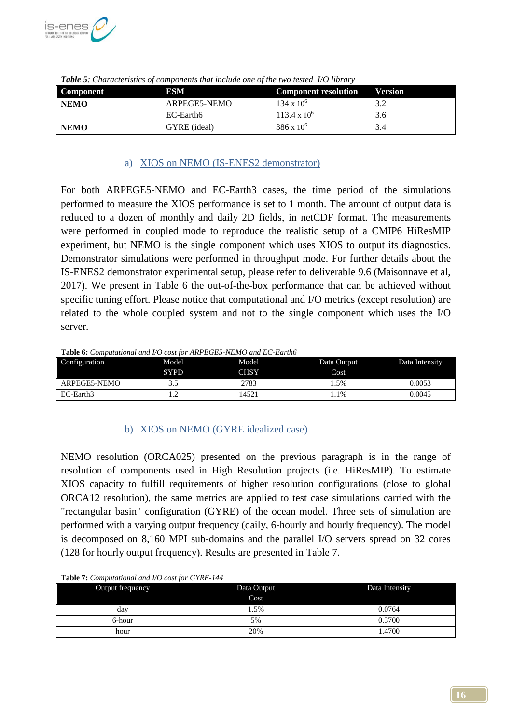

| Component   | ESM          | <b>Component resolution</b> | <b>Version</b> |
|-------------|--------------|-----------------------------|----------------|
| <b>NEMO</b> | ARPEGE5-NEMO | $134 \times 10^{6}$         | 3.2            |
|             | EC-Earth6    | $113.4 \times 10^6$         | 3.6            |
| <b>NEMO</b> | GYRE (ideal) | $386 \times 10^{6}$         | 3.4            |

*Table 5: Characteristics of components that include one of the two tested I/O library*

#### a) XIOS on NEMO (IS-ENES2 demonstrator)

For both ARPEGE5-NEMO and EC-Earth3 cases, the time period of the simulations performed to measure the XIOS performance is set to 1 month. The amount of output data is reduced to a dozen of monthly and daily 2D fields, in netCDF format. The measurements were performed in coupled mode to reproduce the realistic setup of a CMIP6 HiResMIP experiment, but NEMO is the single component which uses XIOS to output its diagnostics. Demonstrator simulations were performed in throughput mode. For further details about the IS-ENES2 demonstrator experimental setup, please refer to deliverable 9.6 (Maisonnave et al, 2017). We present in Table 6 the out-of-the-box performance that can be achieved without specific tuning effort. Please notice that computational and I/O metrics (except resolution) are related to the whole coupled system and not to the single component which uses the I/O server.

#### **Table 6:** *Computational and I/O cost for ARPEGE5-NEMO and EC-Earth6*

| Configuration | Model       | Model       | Data Output | Data Intensity |
|---------------|-------------|-------------|-------------|----------------|
|               | <b>SYPD</b> | <b>CHSY</b> | Cost        |                |
| ARPEGE5-NEMO  | 3.J         | 2783        | .5%         | 9.0053         |
| EC-Earth3     | .           | 1452 i      | $.1\%$      | 0.0045         |

### b) XIOS on NEMO (GYRE idealized case)

NEMO resolution (ORCA025) presented on the previous paragraph is in the range of resolution of components used in High Resolution projects (i.e. HiResMIP). To estimate XIOS capacity to fulfill requirements of higher resolution configurations (close to global ORCA12 resolution), the same metrics are applied to test case simulations carried with the "rectangular basin" configuration (GYRE) of the ocean model. Three sets of simulation are performed with a varying output frequency (daily, 6-hourly and hourly frequency). The model is decomposed on 8,160 MPI sub-domains and the parallel I/O servers spread on 32 cores (128 for hourly output frequency). Results are presented in Table 7.

| Output frequency | Data Output | Data Intensity |
|------------------|-------------|----------------|
|                  | Cost        |                |
| day              | 1.5%        | 0.0764         |
| 6-hour           | 5%          | 0.3700         |
| hour             | 20%         | l.4700         |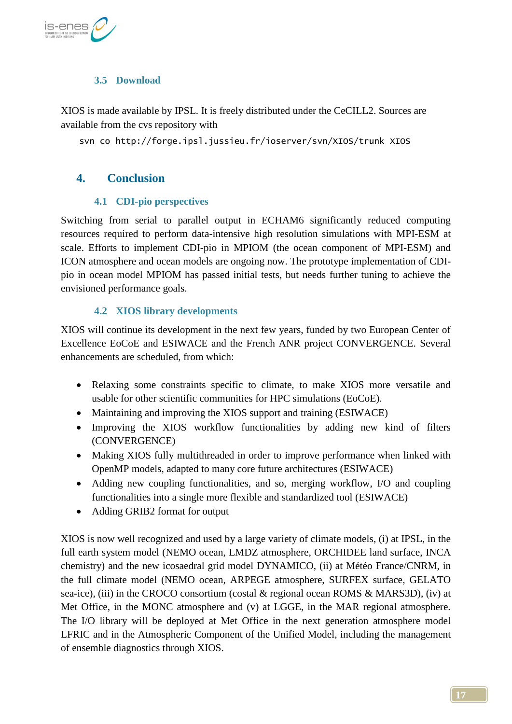

## **3.5 Download**

XIOS is made available by IPSL. It is freely distributed under the CeCILL2. Sources are available from the cvs repository with

svn co http://forge.ipsl.jussieu.fr/ioserver/svn/XIOS/trunk XIOS

## **4. Conclusion**

### **4.1 CDI-pio perspectives**

Switching from serial to parallel output in ECHAM6 significantly reduced computing resources required to perform data-intensive high resolution simulations with MPI-ESM at scale. Efforts to implement CDI-pio in MPIOM (the ocean component of MPI-ESM) and ICON atmosphere and ocean models are ongoing now. The prototype implementation of CDIpio in ocean model MPIOM has passed initial tests, but needs further tuning to achieve the envisioned performance goals.

## **4.2 XIOS library developments**

XIOS will continue its development in the next few years, funded by two European Center of Excellence EoCoE and ESIWACE and the French ANR project CONVERGENCE. Several enhancements are scheduled, from which:

- Relaxing some constraints specific to climate, to make XIOS more versatile and usable for other scientific communities for HPC simulations (EoCoE).
- Maintaining and improving the XIOS support and training (ESIWACE)
- Improving the XIOS workflow functionalities by adding new kind of filters (CONVERGENCE)
- Making XIOS fully multithreaded in order to improve performance when linked with OpenMP models, adapted to many core future architectures (ESIWACE)
- Adding new coupling functionalities, and so, merging workflow, I/O and coupling functionalities into a single more flexible and standardized tool (ESIWACE)
- Adding GRIB2 format for output

XIOS is now well recognized and used by a large variety of climate models, (i) at IPSL, in the full earth system model (NEMO ocean, LMDZ atmosphere, ORCHIDEE land surface, INCA chemistry) and the new icosaedral grid model DYNAMICO, (ii) at Météo France/CNRM, in the full climate model (NEMO ocean, ARPEGE atmosphere, SURFEX surface, GELATO sea-ice), (iii) in the CROCO consortium (costal & regional ocean ROMS & MARS3D), (iv) at Met Office, in the MONC atmosphere and (v) at LGGE, in the MAR regional atmosphere. The I/O library will be deployed at Met Office in the next generation atmosphere model LFRIC and in the Atmospheric Component of the Unified Model, including the management of ensemble diagnostics through XIOS.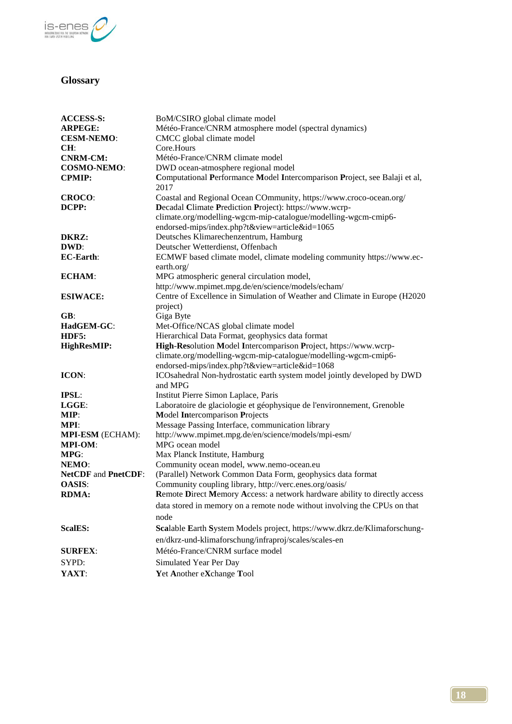

## **Glossary**

| <b>ACCESS-S:</b><br><b>ARPEGE:</b><br><b>CESM-NEMO:</b> | BoM/CSIRO global climate model<br>Météo-France/CNRM atmosphere model (spectral dynamics)<br>CMCC global climate model |
|---------------------------------------------------------|-----------------------------------------------------------------------------------------------------------------------|
| CH:                                                     | Core.Hours<br>Météo-France/CNRM climate model                                                                         |
| <b>CNRM-CM:</b><br><b>COSMO-NEMO:</b>                   | DWD ocean-atmosphere regional model                                                                                   |
| <b>CPMIP:</b>                                           | Computational Performance Model Intercomparison Project, see Balaji et al,<br>2017                                    |
| CROCO:                                                  | Coastal and Regional Ocean COmmunity, https://www.croco-ocean.org/                                                    |
| DCPP:                                                   | Decadal Climate Prediction Project): https://www.wcrp-                                                                |
|                                                         | climate.org/modelling-wgcm-mip-catalogue/modelling-wgcm-cmip6-<br>endorsed-mips/index.php?t&view=article&id=1065      |
| DKRZ:                                                   | Deutsches Klimarechenzentrum, Hamburg                                                                                 |
| DWD:                                                    | Deutscher Wetterdienst, Offenbach                                                                                     |
| <b>EC-Earth:</b>                                        | ECMWF based climate model, climate modeling community https://www.ec-<br>earth.org/                                   |
| <b>ECHAM:</b>                                           | MPG atmospheric general circulation model,                                                                            |
|                                                         | http://www.mpimet.mpg.de/en/science/models/echam/                                                                     |
| <b>ESIWACE:</b>                                         | Centre of Excellence in Simulation of Weather and Climate in Europe (H2020)<br>project)                               |
| GB:                                                     | Giga Byte                                                                                                             |
| HadGEM-GC:                                              | Met-Office/NCAS global climate model                                                                                  |
| HDF5:                                                   | Hierarchical Data Format, geophysics data format                                                                      |
| HighResMIP:                                             | High-Resolution Model Intercomparison Project, https://www.wcrp-                                                      |
|                                                         | climate.org/modelling-wgcm-mip-catalogue/modelling-wgcm-cmip6-                                                        |
|                                                         | endorsed-mips/index.php?t&view=article&id=1068                                                                        |
| ICON:                                                   | ICOsahedral Non-hydrostatic earth system model jointly developed by DWD<br>and MPG                                    |
| IPSL:                                                   | Institut Pierre Simon Laplace, Paris                                                                                  |
| LGGE:                                                   | Laboratoire de glaciologie et géophysique de l'environnement, Grenoble                                                |
| MIP:                                                    | <b>Model Intercomparison Projects</b>                                                                                 |
| MPI:                                                    | Message Passing Interface, communication library                                                                      |
| MPI-ESM (ECHAM):<br><b>MPI-OM:</b>                      | http://www.mpimet.mpg.de/en/science/models/mpi-esm/<br>MPG ocean model                                                |
| MPG:                                                    | Max Planck Institute, Hamburg                                                                                         |
| NEMO:                                                   | Community ocean model, www.nemo-ocean.eu                                                                              |
| <b>NetCDF</b> and <b>PnetCDF</b> :                      | (Parallel) Network Common Data Form, geophysics data format                                                           |
| <b>OASIS:</b>                                           | Community coupling library, http://verc.enes.org/oasis/                                                               |
| <b>RDMA:</b>                                            | Remote Direct Memory Access: a network hardware ability to directly access                                            |
|                                                         | data stored in memory on a remote node without involving the CPUs on that<br>node                                     |
| <b>ScalES:</b>                                          | Scalable Earth System Models project, https://www.dkrz.de/Klimaforschung-                                             |
|                                                         | en/dkrz-und-klimaforschung/infraproj/scales/scales-en                                                                 |
| <b>SURFEX:</b>                                          | Météo-France/CNRM surface model                                                                                       |
| SYPD:                                                   | Simulated Year Per Day                                                                                                |
| YAXT:                                                   | Yet Another eXchange Tool                                                                                             |